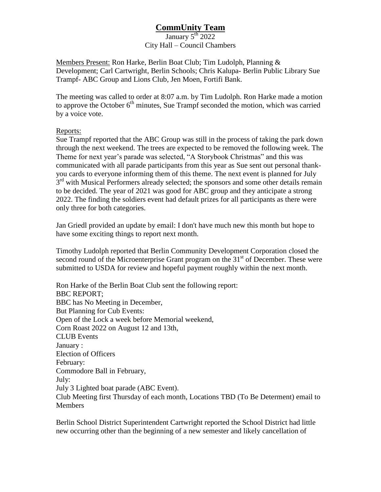## **CommUnity Team**

## January  $5^{\text{th}}$  2022 City Hall – Council Chambers

Members Present: Ron Harke, Berlin Boat Club; Tim Ludolph, Planning & Development; Carl Cartwright, Berlin Schools; Chris Kalupa- Berlin Public Library Sue Trampf- ABC Group and Lions Club, Jen Moen, Fortifi Bank.

The meeting was called to order at 8:07 a.m. by Tim Ludolph. Ron Harke made a motion to approve the October  $6<sup>th</sup>$  minutes, Sue Trampf seconded the motion, which was carried by a voice vote.

## Reports:

Sue Trampf reported that the ABC Group was still in the process of taking the park down through the next weekend. The trees are expected to be removed the following week. The Theme for next year's parade was selected, "A Storybook Christmas" and this was communicated with all parade participants from this year as Sue sent out personal thankyou cards to everyone informing them of this theme. The next event is planned for July 3<sup>rd</sup> with Musical Performers already selected; the sponsors and some other details remain to be decided. The year of 2021 was good for ABC group and they anticipate a strong 2022. The finding the soldiers event had default prizes for all participants as there were only three for both categories.

Jan Griedl provided an update by email: I don't have much new this month but hope to have some exciting things to report next month.

Timothy Ludolph reported that Berlin Community Development Corporation closed the second round of the Microenterprise Grant program on the  $31<sup>st</sup>$  of December. These were submitted to USDA for review and hopeful payment roughly within the next month.

Ron Harke of the Berlin Boat Club sent the following report: BBC REPORT; BBC has No Meeting in December, But Planning for Cub Events: Open of the Lock a week before Memorial weekend, Corn Roast 2022 on August 12 and 13th, CLUB Events January : Election of Officers February: Commodore Ball in February, July: July 3 Lighted boat parade (ABC Event). Club Meeting first Thursday of each month, Locations TBD (To Be Determent) email to Members

Berlin School District Superintendent Cartwright reported the School District had little new occurring other than the beginning of a new semester and likely cancellation of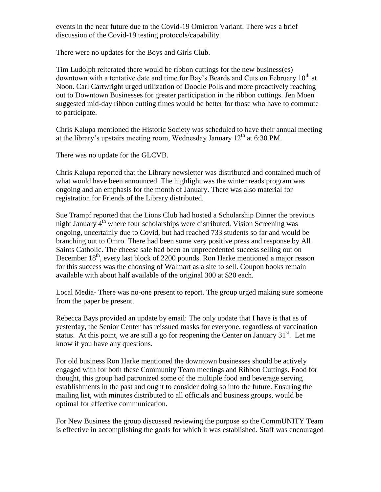events in the near future due to the Covid-19 Omicron Variant. There was a brief discussion of the Covid-19 testing protocols/capability.

There were no updates for the Boys and Girls Club.

Tim Ludolph reiterated there would be ribbon cuttings for the new business(es) downtown with a tentative date and time for Bay's Beards and Cuts on February  $10<sup>th</sup>$  at Noon. Carl Cartwright urged utilization of Doodle Polls and more proactively reaching out to Downtown Businesses for greater participation in the ribbon cuttings. Jen Moen suggested mid-day ribbon cutting times would be better for those who have to commute to participate.

Chris Kalupa mentioned the Historic Society was scheduled to have their annual meeting at the library's upstairs meeting room, Wednesday January  $12<sup>th</sup>$  at 6:30 PM.

There was no update for the GLCVB.

Chris Kalupa reported that the Library newsletter was distributed and contained much of what would have been announced. The highlight was the winter reads program was ongoing and an emphasis for the month of January. There was also material for registration for Friends of the Library distributed.

Sue Trampf reported that the Lions Club had hosted a Scholarship Dinner the previous night January  $4<sup>th</sup>$  where four scholarships were distributed. Vision Screening was ongoing, uncertainly due to Covid, but had reached 733 students so far and would be branching out to Omro. There had been some very positive press and response by All Saints Catholic. The cheese sale had been an unprecedented success selling out on December  $18<sup>th</sup>$ , every last block of 2200 pounds. Ron Harke mentioned a major reason for this success was the choosing of Walmart as a site to sell. Coupon books remain available with about half available of the original 300 at \$20 each.

Local Media- There was no-one present to report. The group urged making sure someone from the paper be present.

Rebecca Bays provided an update by email: The only update that I have is that as of yesterday, the Senior Center has reissued masks for everyone, regardless of vaccination status. At this point, we are still a go for reopening the Center on January  $31<sup>st</sup>$ . Let me know if you have any questions.

For old business Ron Harke mentioned the downtown businesses should be actively engaged with for both these Community Team meetings and Ribbon Cuttings. Food for thought, this group had patronized some of the multiple food and beverage serving establishments in the past and ought to consider doing so into the future. Ensuring the mailing list, with minutes distributed to all officials and business groups, would be optimal for effective communication.

For New Business the group discussed reviewing the purpose so the CommUNITY Team is effective in accomplishing the goals for which it was established. Staff was encouraged